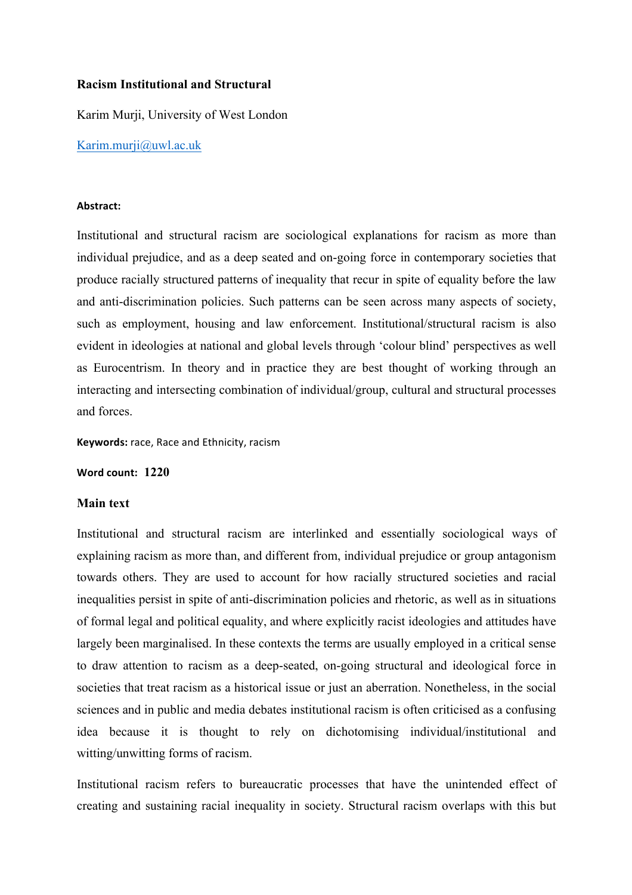## **Racism Institutional and Structural**

Karim Murji, University of West London

Karim.murji@uwl.ac.uk

## **Abstract:**

Institutional and structural racism are sociological explanations for racism as more than individual prejudice, and as a deep seated and on-going force in contemporary societies that produce racially structured patterns of inequality that recur in spite of equality before the law and anti-discrimination policies. Such patterns can be seen across many aspects of society, such as employment, housing and law enforcement. Institutional/structural racism is also evident in ideologies at national and global levels through 'colour blind' perspectives as well as Eurocentrism. In theory and in practice they are best thought of working through an interacting and intersecting combination of individual/group, cultural and structural processes and forces.

**Keywords:** race, Race and Ethnicity, racism

**Word count: 1220**

## **Main text**

Institutional and structural racism are interlinked and essentially sociological ways of explaining racism as more than, and different from, individual prejudice or group antagonism towards others. They are used to account for how racially structured societies and racial inequalities persist in spite of anti-discrimination policies and rhetoric, as well as in situations of formal legal and political equality, and where explicitly racist ideologies and attitudes have largely been marginalised. In these contexts the terms are usually employed in a critical sense to draw attention to racism as a deep-seated, on-going structural and ideological force in societies that treat racism as a historical issue or just an aberration. Nonetheless, in the social sciences and in public and media debates institutional racism is often criticised as a confusing idea because it is thought to rely on dichotomising individual/institutional and witting/unwitting forms of racism.

Institutional racism refers to bureaucratic processes that have the unintended effect of creating and sustaining racial inequality in society. Structural racism overlaps with this but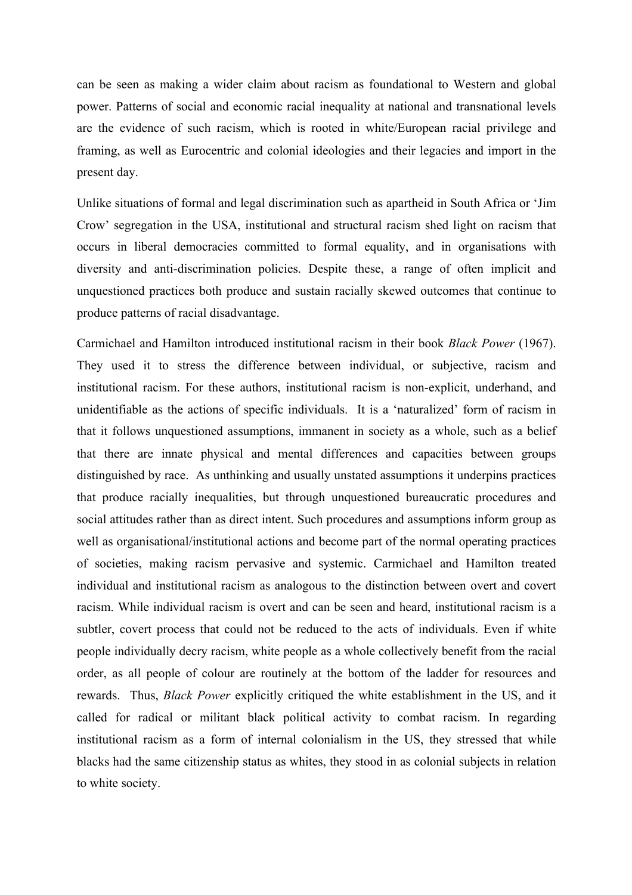can be seen as making a wider claim about racism as foundational to Western and global power. Patterns of social and economic racial inequality at national and transnational levels are the evidence of such racism, which is rooted in white/European racial privilege and framing, as well as Eurocentric and colonial ideologies and their legacies and import in the present day.

Unlike situations of formal and legal discrimination such as apartheid in South Africa or 'Jim Crow' segregation in the USA, institutional and structural racism shed light on racism that occurs in liberal democracies committed to formal equality, and in organisations with diversity and anti-discrimination policies. Despite these, a range of often implicit and unquestioned practices both produce and sustain racially skewed outcomes that continue to produce patterns of racial disadvantage.

Carmichael and Hamilton introduced institutional racism in their book *Black Power* (1967). They used it to stress the difference between individual, or subjective, racism and institutional racism. For these authors, institutional racism is non-explicit, underhand, and unidentifiable as the actions of specific individuals. It is a 'naturalized' form of racism in that it follows unquestioned assumptions, immanent in society as a whole, such as a belief that there are innate physical and mental differences and capacities between groups distinguished by race. As unthinking and usually unstated assumptions it underpins practices that produce racially inequalities, but through unquestioned bureaucratic procedures and social attitudes rather than as direct intent. Such procedures and assumptions inform group as well as organisational/institutional actions and become part of the normal operating practices of societies, making racism pervasive and systemic. Carmichael and Hamilton treated individual and institutional racism as analogous to the distinction between overt and covert racism. While individual racism is overt and can be seen and heard, institutional racism is a subtler, covert process that could not be reduced to the acts of individuals. Even if white people individually decry racism, white people as a whole collectively benefit from the racial order, as all people of colour are routinely at the bottom of the ladder for resources and rewards. Thus, *Black Power* explicitly critiqued the white establishment in the US, and it called for radical or militant black political activity to combat racism. In regarding institutional racism as a form of internal colonialism in the US, they stressed that while blacks had the same citizenship status as whites, they stood in as colonial subjects in relation to white society.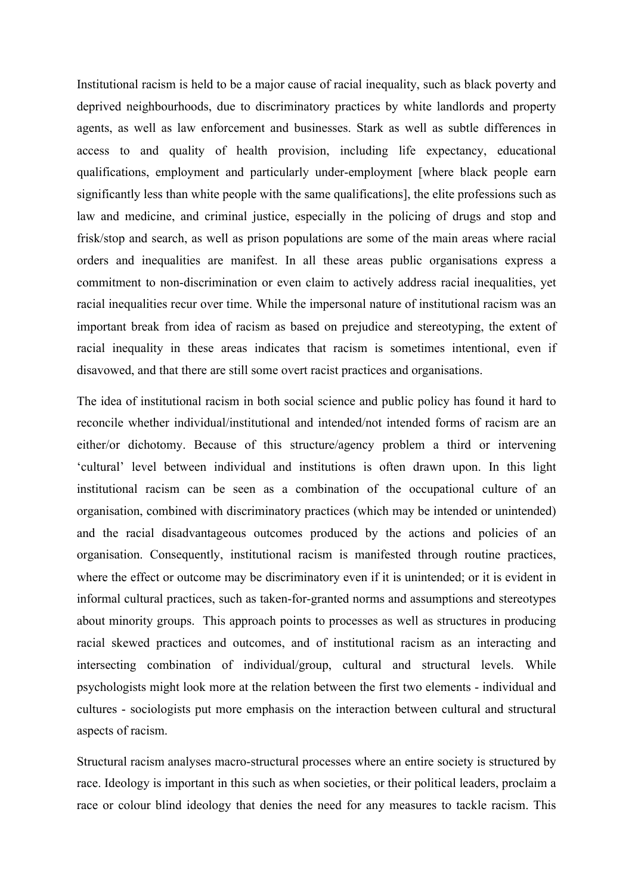Institutional racism is held to be a major cause of racial inequality, such as black poverty and deprived neighbourhoods, due to discriminatory practices by white landlords and property agents, as well as law enforcement and businesses. Stark as well as subtle differences in access to and quality of health provision, including life expectancy, educational qualifications, employment and particularly under-employment [where black people earn significantly less than white people with the same qualifications], the elite professions such as law and medicine, and criminal justice, especially in the policing of drugs and stop and frisk/stop and search, as well as prison populations are some of the main areas where racial orders and inequalities are manifest. In all these areas public organisations express a commitment to non-discrimination or even claim to actively address racial inequalities, yet racial inequalities recur over time. While the impersonal nature of institutional racism was an important break from idea of racism as based on prejudice and stereotyping, the extent of racial inequality in these areas indicates that racism is sometimes intentional, even if disavowed, and that there are still some overt racist practices and organisations.

The idea of institutional racism in both social science and public policy has found it hard to reconcile whether individual/institutional and intended/not intended forms of racism are an either/or dichotomy. Because of this structure/agency problem a third or intervening 'cultural' level between individual and institutions is often drawn upon. In this light institutional racism can be seen as a combination of the occupational culture of an organisation, combined with discriminatory practices (which may be intended or unintended) and the racial disadvantageous outcomes produced by the actions and policies of an organisation. Consequently, institutional racism is manifested through routine practices, where the effect or outcome may be discriminatory even if it is unintended; or it is evident in informal cultural practices, such as taken-for-granted norms and assumptions and stereotypes about minority groups. This approach points to processes as well as structures in producing racial skewed practices and outcomes, and of institutional racism as an interacting and intersecting combination of individual/group, cultural and structural levels. While psychologists might look more at the relation between the first two elements - individual and cultures - sociologists put more emphasis on the interaction between cultural and structural aspects of racism.

Structural racism analyses macro-structural processes where an entire society is structured by race. Ideology is important in this such as when societies, or their political leaders, proclaim a race or colour blind ideology that denies the need for any measures to tackle racism. This